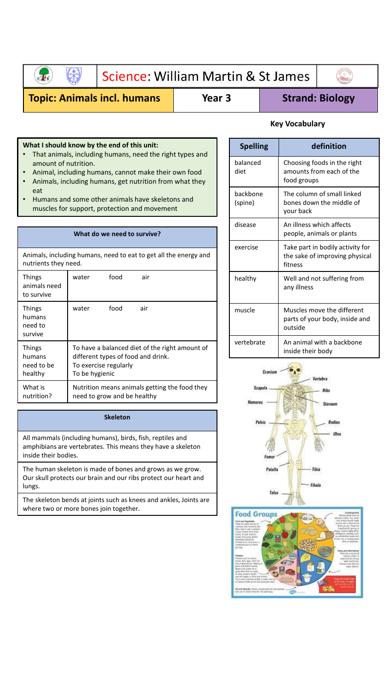

## Science: William Martin & St James



## **Topic: Animals incl. humans | Year 3 | Strand: Biology**

#### **What I should know by the end of this unit:**

- That animals, including humans, need the right types and amount of nutrition.
- Animal, including humans, cannot make their own food
- Animals, including humans, get nutrition from what they eat
- Humans and some other animals have skeletons and muscles for support, protection and movement

### **What do we need to survive?** Animals, including humans, need to eat to get all the energy and nutrients they need. Things water food air

| шшқэ<br>animals need<br>to survive               | walci                                                                                                                           | iuuu | all                                           |
|--------------------------------------------------|---------------------------------------------------------------------------------------------------------------------------------|------|-----------------------------------------------|
| <b>Things</b><br>humans<br>need to<br>survive    | water                                                                                                                           | food | air                                           |
| <b>Things</b><br>humans<br>need to be<br>healthy | To have a balanced diet of the right amount of<br>different types of food and drink.<br>To exercise regularly<br>To be hygienic |      |                                               |
| What is<br>nutrition?                            | need to grow and be healthy                                                                                                     |      | Nutrition means animals getting the food they |

#### **Skeleton**

All mammals (including humans), birds, fish, reptiles and amphibians are vertebrates. This means they have a skeleton inside their bodies.

The human skeleton is made of bones and grows as we grow. Our skull protects our brain and our ribs protect our heart and lungs.

The skeleton bends at joints such as knees and ankles, Joints are where two or more bones join together.

### **Key Vocabulary**

| <b>Spelling</b>     | definition                                                                    |
|---------------------|-------------------------------------------------------------------------------|
| balanced<br>diet    | Choosing foods in the right<br>amounts from each of the<br>food groups        |
| backbone<br>(spine) | The column of small linked<br>bones down the middle of<br>your back           |
| disease             | An illness which affects<br>people, animals or plants                         |
| exercise            | Take part in bodily activity for<br>the sake of improving physical<br>fitness |
| healthy             | Well and not suffering from<br>any illness                                    |
| muscle              | Muscles move the different<br>parts of your body, inside and<br>outside       |
| vertebrate          | An animal with a backbone<br>inside their body                                |



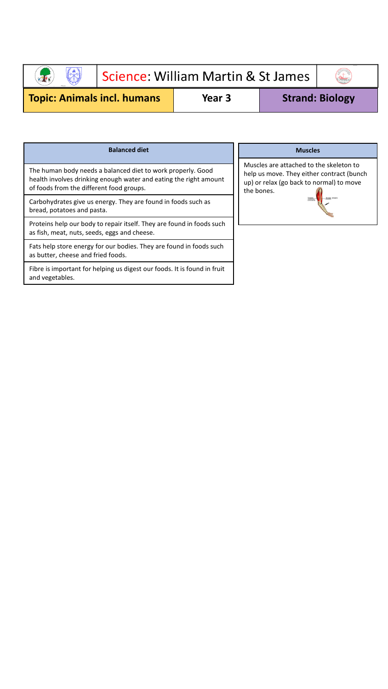

# Science: William Martin & St James



**Topic: Animals incl. humans | Year 3 | Strand: Biology** 

| <b>Balanced diet</b>                                                                                                                                                         |                                                |
|------------------------------------------------------------------------------------------------------------------------------------------------------------------------------|------------------------------------------------|
| The human body needs a balanced diet to work properly. Good<br>health involves drinking enough water and eating the right amount<br>of foods from the different food groups. | Muscles<br>help us<br>$up)$ or $ri$<br>the bon |
| Carbohydrates give us energy. They are found in foods such as<br>bread, potatoes and pasta.                                                                                  |                                                |
| Proteins help our body to repair itself. They are found in foods such<br>as fish, meat, nuts, seeds, eggs and cheese.                                                        |                                                |
| Fats help store energy for our bodies. They are found in foods such<br>as butter, cheese and fried foods.                                                                    |                                                |
| Fibre is important for helping us digest our foods. It is found in fruit<br>and vegetables.                                                                                  |                                                |

#### **Muscles**

are attached to the skeleton to move. They either contract (bunch elax (go back to normal) to move tes.